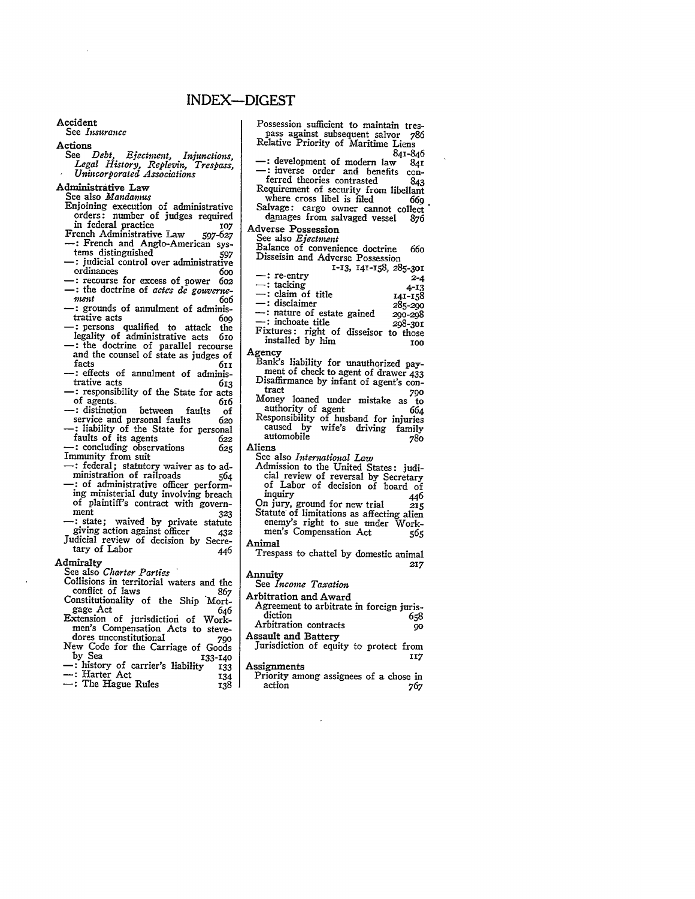Accident See *Insurance* Actions<br>See Debt. See *Debt, Ejectment, Injunctions, Legal History, Replevin, Trespass, Unincorporated Associations* Administrative Law See also *Mandamus* Enjoining execution of administrative orders: number of judges required in federal practice *<sup>107</sup>* French Administrative Law 597-627 -: French and Anglo-American sys-<br>tems distinguished 507 tems distinguished *<sup>597</sup>* **-:** judicial control over administrative **-:** recourse for excess of power 6o2<br> **-:** the doctrine of *actes de gouverne-*<br> *ment* 606<br> **-:** grounds of annulment of adminis-<br>
trative acts 600 trative acts 609<br>
-: persons qualified to attack the legality of administrative acts **61o** and the counsel of state as judges of facts **611** facts 611<br>
--: effects of annulment of administrative acts 613<br> **-:** responsibility of the State for acts<br>
of agents 616 of agents. **-:** distinction between faults of service and personal faults *62o* **-:** liability of the State for personal faults of its agents *<sup>622</sup>* **-:** concluding observations *625* Immunity from suit **-:** federal; statutory waiver as to administration of railroads 564 ministration of railroads 564<br>-: of administrative officer perform-<br>ing ministerial duty involving breach of plaintiff's contract with govern-<br>ment 323 ment 323<br>
-: state; waived by private statute<br>
giving action against officer 432 Judicial review of decision **by** Secre- $\frac{1}{446}$  tary of Labor  $\frac{1}{446}$ Admiralty See also *Charter Parties* Collisions in territorial waters and the conflict of laws *<sup>867</sup>* Constitutionality of the **Ship** 'Mort-gage Act *646* gage Act 646<br>Extension of jurisdiction of Workmen's Compensation Acts to stevedores unconstitutional **790** New Code for the Carriage of Goods<br>by Sea 133-140 by Sea **133-140**<br>
-: history of carrier's liability 133<br>
--: Harter Act 134<br>
--: The Hague Rules 138 Possession sufficient to maintain tres-Adverse Possession See also *Ejectnent* Agency authority of agent automobile **780** Aliens Animal Annuity See *Income Taxation* Arbitration and Award Assault and Battery Assignments

pass against subsequent salvor *786* Relative Priority of Maritime Liens -: development of modern law 841<br>-: inverse order and benefits con-<br>ferred theories contrasted 843 Requirement of security from libellant<br>where cross libel is filed 669 where cross libel is filed Salvage: cargo owner cannot collect<br>damages from salvaged vessel 876 damages from salvaged vessel **876** Balance of convenience doctrine 66o Disseisin and Adverse Possession<br>1-13, 141-158, 285-301 1-13, 141-158, 285-301<br>
2-4<br>
141-158<br>
141-158<br>
141-158<br>
141-158<br>
141-158<br>
295-290<br>
141-158<br>
141-158<br>
141-158<br>
141-158<br>
141-158<br>
295-290<br>
290-298 \* inchoate title **298-301** Fixtures: right of disseisor to those installed **by** him **IOO** Bank's liability for unauthorized payment of check to agent of drawer 433 Disaffirmance by infant of agent's con-<br>tract *790*<br>Money loaned under mistake as to Money loaned under mistake as to<br>authority of agent 664 Responsibility of husband for injuries caused by wife's driving family See also *International Law* Admission to the United States: judicial review of reversal **by** Secretary **of** Labor of decision of board of inquiry 446 On jury, ground for new trial 215 Statute\* of limitations as affecting alien enemy's right to sue under Workmen's Compensation Act *565* Trespass to chattel by domestic animal *217* Agreement to arbitrate in foreign juris-<br>diction 658 diction **658** Arbitration contracts *9o* Jurisdiction of equity to protect from 117 Priority among assignees of a chose in action 767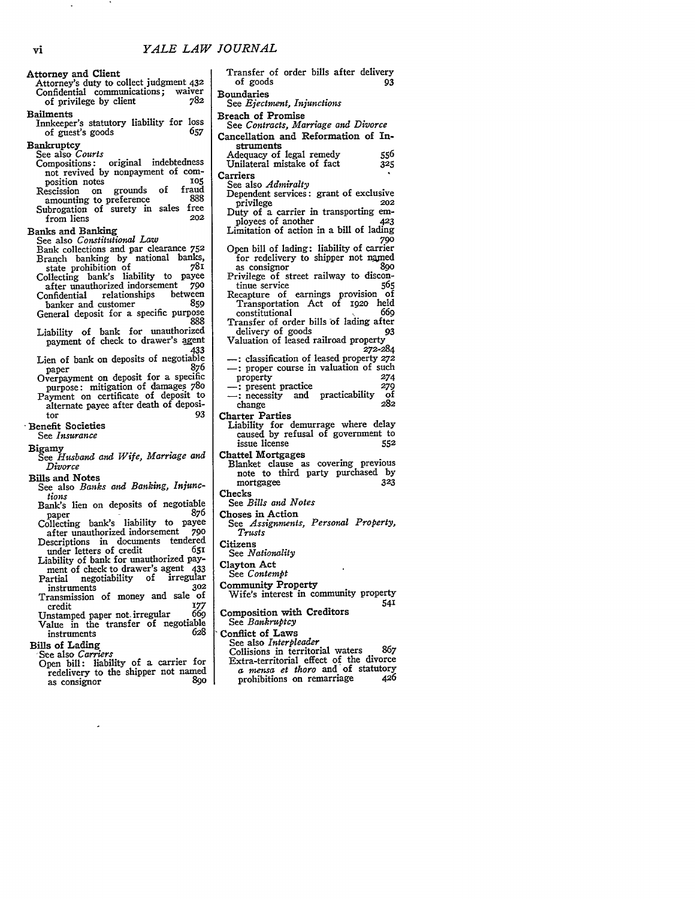| <b>Attorney and Client</b><br>Attorney's duty to collect judgment 432<br>Confidential communications; waiver<br>782<br>of privilege by client                                                                                                                                                                                                                                                                                                                                                                                                                                                                                                                                                          | I      |
|--------------------------------------------------------------------------------------------------------------------------------------------------------------------------------------------------------------------------------------------------------------------------------------------------------------------------------------------------------------------------------------------------------------------------------------------------------------------------------------------------------------------------------------------------------------------------------------------------------------------------------------------------------------------------------------------------------|--------|
| Bailments<br>Innkeeper's statutory liability for<br>loss<br>657<br>of guest's goods                                                                                                                                                                                                                                                                                                                                                                                                                                                                                                                                                                                                                    | I      |
| Bankruptcy<br>See also Courts<br>Compositions: original indebtedness<br>not revived by nonpayment of com-<br>105<br>position notes<br>grounds of fraud<br>Rescission on<br>888<br>amounting to preference<br>Subrogation of surety in sales free<br>202<br>from liens                                                                                                                                                                                                                                                                                                                                                                                                                                  | ¢<br>O |
| <b>Banks and Banking</b><br>See also Constitutional Law<br>Bank collections and par clearance 752<br>Branch banking by national banks,<br>781<br>state prohibition of<br>Collecting bank's liability to payee<br>after unauthorized indorsement<br>790<br>Confidential relationships between<br>banker and customer<br>859<br>General deposit for a specific purpose<br>888<br>Liability of bank for unauthorized<br>payment of check to drawer's agent<br>433<br>Lien of bank on deposits of negotiable<br>876<br>paper<br>Overpayment on deposit for a specific<br>purpose: mitigation of damages 780<br>Payment on certificate of deposit to<br>alternate payee after death of deposi-<br>93<br>tor |        |
| <b>Benefit Societies</b><br>See <i>Insurance</i>                                                                                                                                                                                                                                                                                                                                                                                                                                                                                                                                                                                                                                                       |        |
| Bigamy<br>See Husband and Wife, Marriage and<br>Divorce                                                                                                                                                                                                                                                                                                                                                                                                                                                                                                                                                                                                                                                |        |
| <b>Bills and Notes</b><br>See also Banks and Banking, Injunc-<br>tions<br>Bank's lien on deposits of negotiable<br>876<br>paper<br>Collecting bank's liability to<br>payee                                                                                                                                                                                                                                                                                                                                                                                                                                                                                                                             |        |
| after unauthorized indorsement<br>790<br>Descriptions in documents tendered<br>under letters of credit<br>651<br>Liability of bank for unauthorized pay-<br>ment of check to drawer's agent<br>433<br>negotiability of<br>irregular<br>Partial<br>302<br>instruments<br>of<br>Transmission of money and sale<br>177<br>credit                                                                                                                                                                                                                                                                                                                                                                          |        |
| Unstamped paper not irregular<br>669<br>Value in the transfer of negotiable<br>628<br>instruments<br>Bills of Lading<br>See also Carriers<br>Open bill: liability of a carrier<br>for<br>redelivery to the shipper not named<br>890<br>as consignor                                                                                                                                                                                                                                                                                                                                                                                                                                                    |        |
|                                                                                                                                                                                                                                                                                                                                                                                                                                                                                                                                                                                                                                                                                                        |        |

| Transfer of order bills after delivery<br>of goods<br>93                                                                                                                    |  |
|-----------------------------------------------------------------------------------------------------------------------------------------------------------------------------|--|
| Boundaries<br>See <i>Ejectment</i> , Injunctions                                                                                                                            |  |
| <b>Breach of Promise</b><br>See Contracts, Marriage and Divorce                                                                                                             |  |
| Cancellation and Reformation of In-<br>struments                                                                                                                            |  |
| Adequacy of legal remedy<br>556<br>Unilateral mistake of fact<br>325                                                                                                        |  |
| Carriers<br>See also Admiralty<br>Dependent services: grant of exclusive<br>privilege<br>202<br>Duty of a carrier in transporting em-                                       |  |
| ployees of another<br>423<br>Limitation of action in a bill of lading<br>790                                                                                                |  |
| Open bill of lading: liability of carrier<br>for redelivery to shipper not named<br>890<br>as consignor                                                                     |  |
| Privilege of street railway to discon-<br>tinue service<br>565<br>Recapture of earnings provision of                                                                        |  |
| held<br>Transportation Act of 1920<br>669<br>constitutional<br>Transfer of order bills of lading after                                                                      |  |
| delivery of goods<br>93<br>Valuation of leased railroad property<br>272-284                                                                                                 |  |
| -: classification of leased property 272<br>-: proper course in valuation of such<br>274<br>property<br>-: present practice<br>279<br>-: necessity and practicability<br>οf |  |
| 282<br>change<br><b>Charter Parties</b>                                                                                                                                     |  |
| Liability for demurrage where delay<br>caused by refusal of government to<br>issue license<br>552                                                                           |  |
| Chattel Mortgages<br>Blanket clause as covering previous<br>note to third party purchased by<br>323<br>mortgagee                                                            |  |
| Checks<br>See <i>Bills and Notes</i>                                                                                                                                        |  |
| Choses in Action<br>See Assignments, Personal Property,<br>Trusts                                                                                                           |  |
| Citizens<br>See <i>Nationality</i>                                                                                                                                          |  |
| Clayton Act<br>See <i>Contempt</i>                                                                                                                                          |  |
| <b>Community Property</b><br>Wife's interest in community property<br>541                                                                                                   |  |
| Composition with Creditors<br>See Bankruptcy                                                                                                                                |  |
| Conflict of Laws<br>See also Interpleader<br>Collisions in territorial waters<br>867                                                                                        |  |
| Extra-territorial effect of the divorce<br>a mensa et thoro and of statutory<br>426<br>prohibitions on remarriage                                                           |  |

 $\langle \cdot \rangle$ 

**CONTRACTOR**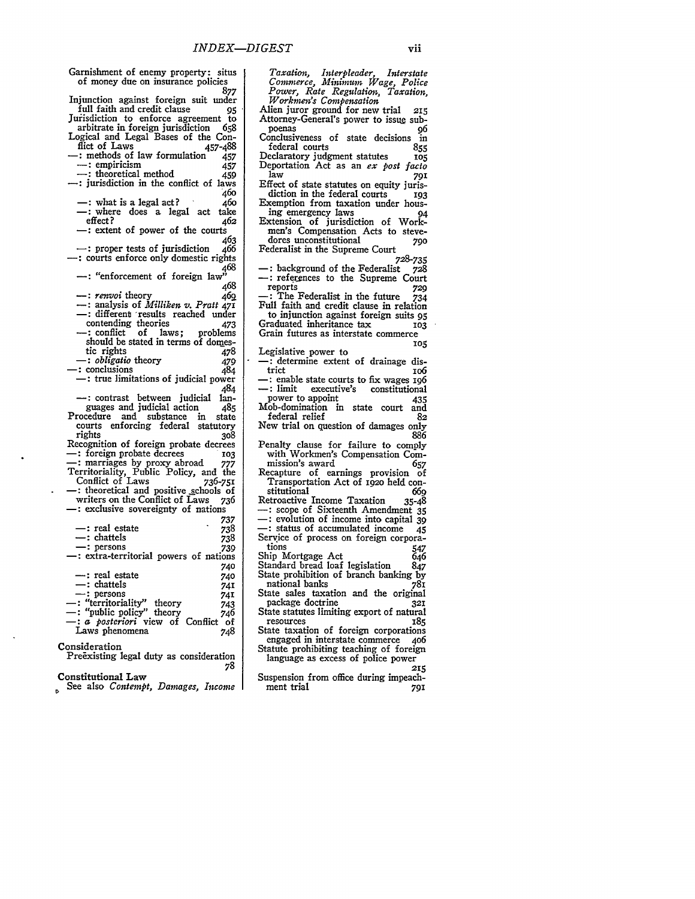| Garnishment of enemy property: situs                                                                                                     |            |
|------------------------------------------------------------------------------------------------------------------------------------------|------------|
| of money due on insurance policies                                                                                                       |            |
|                                                                                                                                          | 877        |
| Injunction against foreign suit under                                                                                                    |            |
| full faith and credit clause                                                                                                             | 95         |
| Jurisdiction to enforce agreement to                                                                                                     |            |
| arbitrate in foreign jurisdiction                                                                                                        | - 658      |
| Logical and Legal Bases of the Con-                                                                                                      |            |
| flict of Laws<br>-: methods of law formulation                                                                                           | 457-488    |
| $-$ : empiricism                                                                                                                         | 457<br>457 |
| -: theoretical method                                                                                                                    | 459        |
| : jurisdiction in the conflict of laws                                                                                                   |            |
|                                                                                                                                          | 460        |
| $-$ : what is a legal act?                                                                                                               | 460        |
| -: where does a legal act                                                                                                                | take       |
| effect?                                                                                                                                  | 462        |
| -: extent of power of the courts                                                                                                         |            |
|                                                                                                                                          | 463        |
| $-$ : proper tests of jurisdiction                                                                                                       | 466        |
| : courts enforce only domestic rights                                                                                                    | 468        |
| $-$ : "enforcement of foreign law"                                                                                                       |            |
|                                                                                                                                          | 468        |
| —: renvoi theory                                                                                                                         | 469        |
| $-$ : analysis of <i>Milliken v. Pratt 471</i>                                                                                           |            |
| -: different results reached under                                                                                                       |            |
| contending theories                                                                                                                      | 473        |
| contenuing meories 4/5<br>-: conflict of laws; problems                                                                                  |            |
| should be stated in terms of domes-                                                                                                      |            |
| tic rights                                                                                                                               | 478        |
| -: <i>obligatio</i> theory                                                                                                               | 479        |
| -: conclusions<br>$-$ : true limitations of judicial power                                                                               | 484        |
|                                                                                                                                          | 484        |
| -: contrast between judicial                                                                                                             | lan-       |
|                                                                                                                                          | 485        |
| guages and judicial action<br>Procedure and substance in                                                                                 | state      |
| courts enforcing federal statutory                                                                                                       |            |
| rights                                                                                                                                   | 308        |
| Recognition of foreign probate decrees                                                                                                   |            |
| -: foreign probate decrees 103<br>-: marriages by proxy abroad 777<br>Territoriality, Public Policy, and the<br>Conflict of Laws 736-751 |            |
|                                                                                                                                          |            |
|                                                                                                                                          |            |
| -: theoretical and positive schools of                                                                                                   | 736-751    |
| writers on the Conflict of Laws                                                                                                          | 736        |
| -: exclusive sovereignty of nations                                                                                                      |            |
|                                                                                                                                          | 737        |
| —: real estate                                                                                                                           | 738        |
| $-$ : chattels                                                                                                                           | 738        |
| -: persons                                                                                                                               | 739        |
| -: extra-territorial powers of nations                                                                                                   |            |
|                                                                                                                                          | 740        |
| - : real estate                                                                                                                          | 740        |
| –: chattels                                                                                                                              | 741        |
| $-$ : persons                                                                                                                            | 74I        |
|                                                                                                                                          |            |
| -: "territoriality" theory<br>-: "public policy" theory 748<br>-: a <i>posteriori</i> view of Conflict of                                |            |
| Laws phenomena                                                                                                                           | 748        |
|                                                                                                                                          |            |
| Consideration                                                                                                                            |            |
| Preexisting legal duty as consideration                                                                                                  |            |
|                                                                                                                                          | 78         |

## Constitutional Law

See also *Contempt*, Damages, Income

*Taxation, Interpleader, Interstate Commerce, Mininum Wage, Police Power, Rate Regulation, Taxation, Workmen's Compensation* Alien juror ground for new trial 215 Attorney-General's power to issue subpoenas *96* Conclusiveness of state decisions in federal courts **855** Declaratory judgment statutes **105** Deportation Act as an *ex post facto* law **<sup>791</sup>** Effect of state statutes on equity juris- diction in the federal courts **<sup>193</sup>** Exemption from taxation under housing emergency laws 94 Extension of jurisdiction of Workmen's Compensation Acts to stevedores unconstitutional **790** Federalist in the Supreme Court *728-735* : background of the Federalist \_ 728 : references to the Supreme Court reports **729 -:** The Federalist in the future 734 Full faith and credit clause in relation to injunction against foreign suits 95<br>raduated inheritance tax 103 Graduated inheritance tax **103** Grain futures as interstate commerce*105* Legislative power to<br>
--: determine extent of drainage dis-<br>
trict<br>
ro6 : enable state courts to fix wages **196**<br>  $\leftarrow$ : limit executive's constitutional power to appoint 435 Mob-domination in state court and<br>federal relief 82 federal relief New trial on question of damages only **886** Penalty clause for failure to comply with Workmen's Compensation Commission's award **657** Recapture of earnings provision of Transportation Act of **192o** held con- stitutional **<sup>669</sup>** stitutional<br>stitutional 669<br>Retroactive Income Taxation 35-48<br> $\rightarrow$ : scope of Sixteenth Amendment 35<br> $\rightarrow$ : evolution of income into capital 39 - Status of accumulated income<br>
Service of process on foreign corpora-<br>
tions 547<br>
Ship Mortgage Act 646 Ship Mortgage Act 646<br>Standard bread loaf legislation 847 Standard bread loaf legislation State prohibition of branch banking by national banks 781 State sales taxation and the original package doctrine **<sup>321</sup>** State statutes limiting export of natural<br>resources 185 resources 185 State taxation of foreign corporations engaged in interstate commerce **4o6** Statute prohibiting teaching of foreign language as excess of police power **215** Suspension from office during impeach-

ment trial 791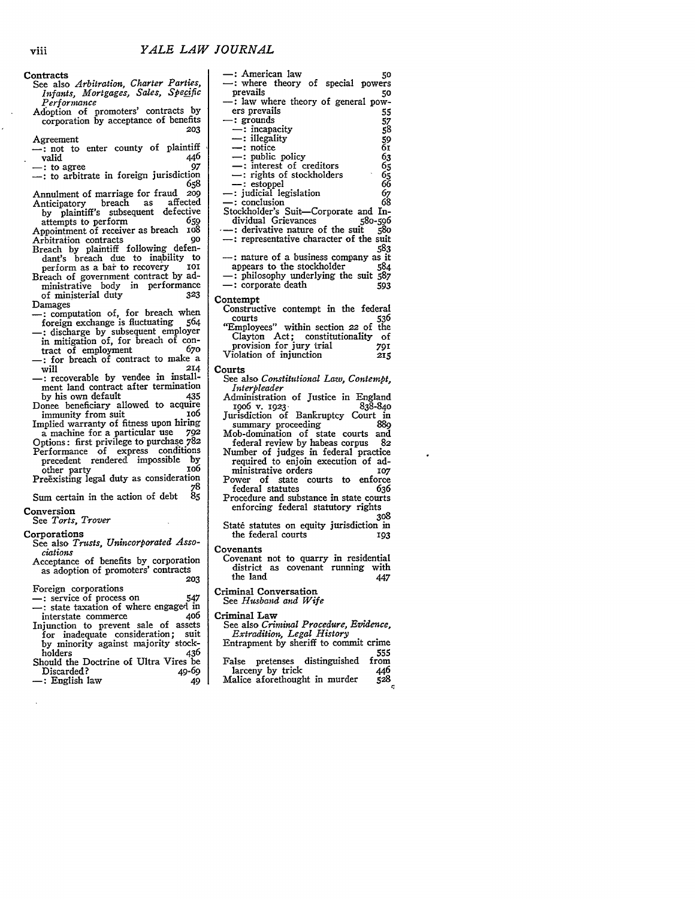**Contracts** 

- See also *Arbitration, Charter Parties, Infants, Mortgages, Sales, Specific* Performance
- Adoption of promoters' contracts by corporation by acceptance of benefits **203**

Agreement

- $\frac{1}{2}$ : not to enter county of plaintiff valid 446
- -: to agree *97* -: to arbitrate in foreign jurisdiction **<sup>658</sup>**
- Annulment of marriage for fraud **209** Anticipatory breach as affected by plaintiff's subsequent defective
- attempts to perform 659 Appointment of receiver as breach xo8<br>Arbitration contracts 90
- Arbitration contracts **90** Breach by plaintiff following defendant's breach due to inability to perform as a bai to recovery **ioI**
- Breach of government contract by ad-ministrative body in performance of ministerial duty **323** Damages
- -: computation of, for breach when foreign exchange is fluctuating 564 -: discharge by subsequent employer
- in mitigation of, for breach of contract of employment 67o -: for breach of contract to make a<br>will 214
- will 214 -: recoverable by vendee in install-ment land contract after termination
- by his own default 435 Donee beneficiary allowed to acquire<br>immunity from suit 106
- immunity from suit Implied warranty of fitness upon hiring
- a machine for a particular use **792** Options: first privilege to purchase 782
- Performance of express conditions precedent rendered impossible by other party<br>Preexisting legal duty as consideration

**78**

Sum certain in the action of debt Conversion

## See *Torts, Trover*

Corporations

- See also *Trusts, Unincorporated Associations*
- Acceptance of benefits by corporation as adoption of promoters' contracts **203**

Foreign corporations

- **-:** service of process on 547 **:** state taxation of where engaged in
- interstate commerce Injunction to prevent sale of assets for inadequate consideration; suit by minority against majority stock-<br>holders 436
- holders 436 Should the Doctrine of Ultra Vires be Discarded? 49-69<br>
-: English law 49
- **-:** English law 49

**-:** American law *<sup>50</sup>* -: where theory of special powers prevails 50 **-:** law where theory of general powers prevails<br>  $\therefore$  grounds<br>  $\therefore$  incapacity<br>  $\therefore$  illegality<br>  $\therefore$  illegality<br>  $\therefore$  notice<br>  $\therefore$  notice **-:** grounds **57** -: incapacity **59** --: illegality<br>--: notice --: notice 61<br>
--: public policy 63 -: public policy 63<br>
-: interest of creditors 65<br>
-: rights of stockholders 65<br>
-: estoppel 66 **-:** estoppel *66* -: judicial legislation **67 -:** conclusion **68** Stockholder's Suit-Corporate and Individual Grievances **58o-596 -:** derivative nature of the suit *580* **-:** representative character of the suit **583** nature of a business company as it appears to the stockholder 584 **-:** philosophy underlying the suit *587* **-:** corporate death **<sup>593</sup>** Contempt Constructive contempt in the federal courts **536** "Employees" within section 22 of the Clayton Act; constitutionality of provision for jury trial **791** Violation of injunction 215 Courts **See** also *Constitutional Law, Contempt, Interpleader* Administration of Justice in England **19o6** v. **1923- 838-840** Jurisdiction of Bankruptcy Court in summary proceeding 889 Mob-domination of state courts and federal review by habeas corpus 82 Number of judges in federal practice required to enjoin execution of ad-<br>ministrative orders ministrative orders **107** Power of state courts to enforce<br>federal statutes 636 federal statutes Procedure and substance in state courts enforcing federal statutory rights **308** State statutes on equity jurisdiction in the federal courts 193 **Covenants** Covenant not to quarry in residential district as covenant running with the land 447

Criminal Conversation

See *Husband and Wife*

Criminal Law

- See also *Criminal Procedure, Evidence, Extradition, Legal History* Entrapment by sheriff to commit crime
- 555 False pretenses distinguished from larceny **by** trick 446
- Malice aforethought in murder **528**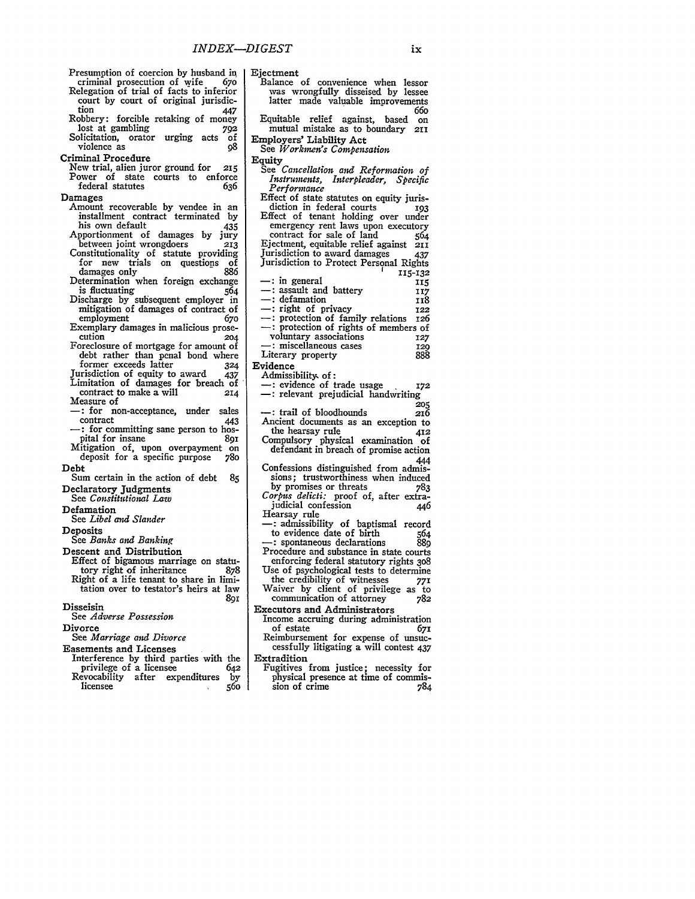| Presumption of coercion by husband in                                            | Ejec                        |
|----------------------------------------------------------------------------------|-----------------------------|
| criminal prosecution of wife<br>670                                              | Ba                          |
| Relegation of trial of facts to inferior<br>court by court of original jurisdic- | 1                           |
| tion<br>447<br>Robbery: forcible retaking of money                               | Eq                          |
| lost at gambling<br>792                                                          | I                           |
| Solicitation,<br>orator urging acts<br>οf<br>violence as<br>ο8                   | $_{\rm Emp}$<br>$_{\rm Se}$ |
| Criminal Procedure                                                               | Equi                        |
| New trial, alien juror ground for<br>215                                         | Se                          |
| Power of<br>courts to enforce<br>state<br>federal statutes<br>636                |                             |
| Damages                                                                          | Εf                          |
| recoverable by vendee in an<br>Amount<br>installment contract terminated         | Εf                          |
| by<br>his own default<br>435                                                     |                             |
| of<br>Apportionment<br>damages<br>by<br>jury                                     |                             |
| between joint wrongdoers<br>213<br>Constitutionality of statute<br>providing     | Ej<br>Ju                    |
| trials<br>for<br>new<br>on questions<br>of                                       | Ju                          |
| 886<br>damages only<br>Determination when foreign exchange                       |                             |
| is fluctuating<br>564                                                            |                             |
| Discharge by subsequent employer<br>in                                           |                             |
| mitigation of damages of contract of<br>employment<br>670                        |                             |
| Exemplary damages in malicious prose-                                            |                             |
| cution<br>204<br>Foreclosure of mortgage for amount of                           |                             |
| debt rather than penal bond where                                                | Li                          |
| former exceeds latter<br>324                                                     | Ević                        |
| Jurisdiction of equity to award 437<br>Limitation of damages for breach of       | Α                           |
| contract to make a will<br>214<br>Measure of                                     |                             |
| -: for<br>non-acceptance, under<br>sales                                         |                             |
| contract<br>443<br>: for committing sane person to hos-                          | Aı                          |
| pital for insane<br>891                                                          | Cc                          |
| Mitigation of, upon overpayment<br>on<br>deposit for a specific purpose<br>780   |                             |
| Debt                                                                             | $\mathsf{C}$                |
| Sum certain in the action of debt<br>85                                          |                             |
| Declaratory Judgments<br>See Constitutional Law                                  | Cс                          |
| Defamation                                                                       | н                           |
| See Libel and Slander                                                            |                             |
| Deposits<br>See Banks and Banking                                                |                             |
| Descent and Distribution                                                         | Pı                          |
| Effect of bigamous marriage on statu-<br>tory right of inheritance<br>878        | U.                          |
| Right of a life tenant to share in limi-                                         |                             |
| tation over to testator's heirs at law                                           | w                           |
| 891<br>Disseisin                                                                 | Exe                         |
| See Adverse Possession                                                           | In                          |
| Divorce<br>See Marriage and Divorce                                              | R۰                          |
| <b>Easements and Licenses</b>                                                    |                             |
| $\bullet$                                                                        |                             |

Interference **by** third parties with the privilege of a licensee 642 Revocability after expenditures **by** licensee **<sup>560</sup>**

| Ejectment                                                                                                  |         |
|------------------------------------------------------------------------------------------------------------|---------|
|                                                                                                            |         |
|                                                                                                            |         |
| Balance of convenience when lessor<br>was wrongfully disseised by lessee                                   |         |
| latter made valuable improvements                                                                          |         |
|                                                                                                            | 660     |
| Equitable                                                                                                  |         |
| relief against, based                                                                                      | on      |
| mutual mistake as to boundary                                                                              | 2II     |
| Employers' Liability Act                                                                                   |         |
|                                                                                                            |         |
| See Workmen's Compensation                                                                                 |         |
| Equity                                                                                                     |         |
| See <i>Cancellation and Reformation of</i>                                                                 |         |
| Instruments, Interpleader, Specific                                                                        |         |
|                                                                                                            |         |
| Performance                                                                                                |         |
| Effect of state statutes on equity juris-<br>diction in federal courts 193                                 |         |
|                                                                                                            |         |
|                                                                                                            |         |
|                                                                                                            |         |
|                                                                                                            |         |
| Effect of tenant holding over under<br>emergency rent laws upon executory<br>contract for sale of land 564 |         |
| Ejectment, equitable relief against                                                                        | 211     |
|                                                                                                            |         |
| Jurisdiction to award damages 437<br>Jurisdiction to Protect Personal Rights                               |         |
|                                                                                                            |         |
|                                                                                                            | 115-132 |
| : in general                                                                                               | 115     |
| -: assault and battery                                                                                     | 117     |
|                                                                                                            |         |
| -: defamation                                                                                              | 118     |
| -: right of privacy                                                                                        | 122     |
|                                                                                                            |         |
| -: protection of family relations 126<br>--: protection of rights of members of                            |         |
|                                                                                                            |         |
| voluntary associations                                                                                     | 127     |
| ∙: miscellaneous cases                                                                                     | 120     |
| Literary property                                                                                          | 888     |
|                                                                                                            |         |
|                                                                                                            |         |
| Evidence                                                                                                   |         |
| Admissibility of:                                                                                          |         |
| -: evidence of trade usage                                                                                 | 172     |
|                                                                                                            |         |
| -: relevant prejudicial handwriting                                                                        |         |
|                                                                                                            | 205     |
| -: trail of bloodhounds                                                                                    | 216     |
| Ancient documents as an exception to                                                                       |         |
| the hearsay rule                                                                                           |         |
|                                                                                                            | 412     |
| Compulsory physical examination of                                                                         |         |
| defendant in breach of promise action                                                                      |         |
|                                                                                                            | 444     |
| Confessions distinguished from admis-                                                                      |         |
|                                                                                                            |         |
| sions; trustworthiness when induced                                                                        |         |
|                                                                                                            |         |
| by promises or threats 783<br>Corpus delicti: proof of, after extra-                                       |         |
| judicial confession                                                                                        | 446     |
| Hearsay rule                                                                                               |         |
|                                                                                                            |         |
| -: admissibility of baptismal record                                                                       |         |
| to evidence date of birth                                                                                  | 564     |
| : spontaneous declarations                                                                                 | 889     |
| Procedure and substance in state courts                                                                    |         |
|                                                                                                            |         |
|                                                                                                            |         |
| enforcing federal statutory rights 308<br>Use of psychological tests to determine                          |         |
| the credibility of witnesses                                                                               |         |
| ule creationity of witnesses 771<br>Waiver by client of privilege as to                                    |         |
| communication of attorney                                                                                  | 782     |
|                                                                                                            |         |
| Executors and Administrators                                                                               |         |
| Income accruing during administration                                                                      |         |
| of estate                                                                                                  | 67I     |
| Reimbursement for expense of unsuc-<br>cessfully litigating a will contest 437                             |         |

Extradition Fugitives from justice; necessity for physical presence at time of commission of crime **784**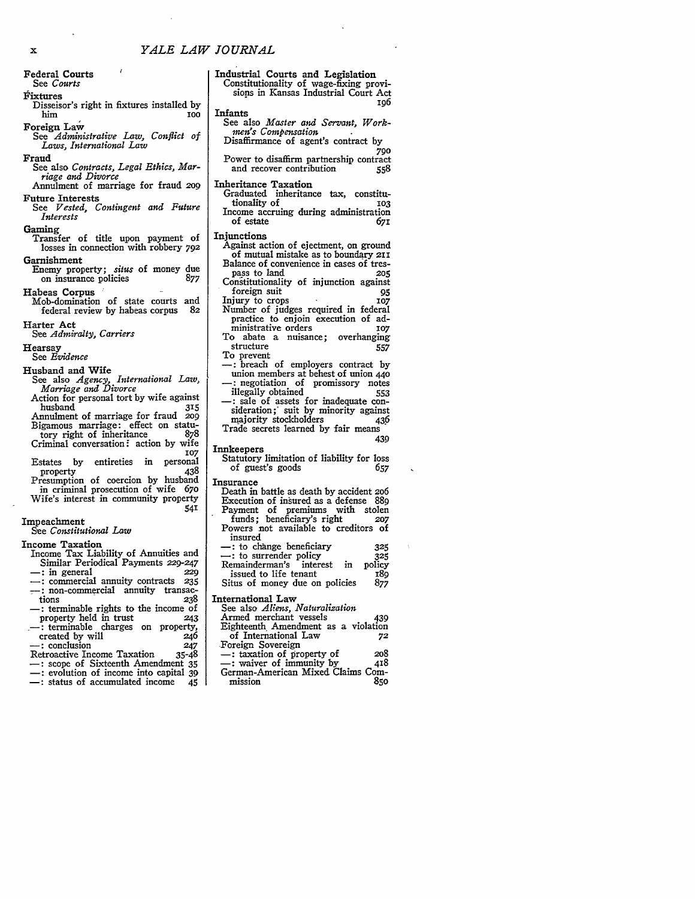Federal Courts See *Courts*

## Fixtures

Disseisor's right in fixtures installed by him **100**

Foreign Law

*See Administrative Law, Conflict of Laws, International Law*

Fraud See also *Contracts, Legal Ethics, Mar-*

*riage and Divorce* Annulment of marriage for fraud *2o9* Future Interests

See *Vested, Contingent and Future Interests*

Gaming

- Transfer of title upon payment of losses in connection with robbery **792** Garnishment
- Enemy property; *situs* of money due on insurance policies 877
- Habeas Corpus " Mob-domination of state courts and<br>federal review by habeas corpus 82
- federal review **by** habeas corpus **82** Harter Act

See *Admiralty, Carriers*

Hearsay

See *Evidence*

Husband and Wife See also *Agency, International Law,*

*Marriage and Divorce* Action for personal tort by wife against<br>husband 315

husband 315 Annulment of marriage for fraud *209* Bigamous marriage: effect on statutory right of inheritance <sup>878</sup> Criminal conversation **-** action by wife

**,07** Estates by entireties in personal<br>property 438 property

Presumption of coercion by husband in criminal prosecution of wife **670** Wife's interest in community property

Impeachment See *Constitutional Law*

Income Taxation

- Income Tax Liability of Annuities and Similar Periodical Payments 229-247
- **-:** in general **229**
- **-:** commercial annuity contracts **<sup>235</sup>** -: non-commercial annuity transactions **238** -: terminable rights to the income of
- property held in trust 243<br>
--: terminable charges on property,<br>
created by will 246<br>
--: conclusion 247<br>
Retroactive Income Taxation 35-48
- 
- 
- -: scope of Sixteenth Amendment 35<br>-: evolution of income into capital 39
- **-:** status of accumulated income 45
- 

Industrial Courts and Legislation Constitutionality of wage-fixing provisions in Kansas Industrial Court Act 196

### Infants

See also *Master and Servant, Workmen's Compensation*

Disaffirmance of agent's contract **by 790**

Power to disaffirm partnership contract<br>and recover contribution 558 and recover contribution **558**

- Inheritance Taxation
	- Graduated inheritance tax, constitu-<br>tionality of 103 tionality of **103** Income accruing during administration<br>of estate 671 of estate *671*

### Injunctions

- Against action of ejectment, on ground of mutual mistake as to boundary **21i** Balance of convenience in cases of trespass to land **205** Constitutionality of injunction against foreign suit **95**<br>
iury to crops 6 107 Injury to crops
- Number of judges required in federal practice to enjoin execution of administrative orders 107 To abate a nuisance; overhanging
- structure 557 To prevent
- -: breach of employers contract by<br>union members at behest of union 440 negotiation of promissory notes illegally obtained 553 -: sale of assets for inadequate consideration; suit by minority against<br>majority stockholders (436) majority stockholders 436
- Trade secrets learned by fair means 439
- Innkeepers
- Statutory limitation of liability for loss<br>of guest's goods 657 of guest's goods

## Insurance

**541**

- Death in battle as death by accident *206* Execution of insured as a defense **889** Payment of premiums with stolen funds; beneficiary's right **207** Powers not available to creditors of insured **-:** to change beneficiary **325**
- **-:** to surrender policy **325** Remainderman's interest in issued to life tenant<br>itus of money due on policies 877 Situs of money due on policies

International Law

See also *Aliens, Naturalization* Armed merchant vessels (439) Eighteenth Amendment as a violation of International Law **72**

 $-$ : taxation of property of 208<br>  $-$ : waiver of immunity by 418 -: waiver of immunity by German-American Mixed Claims Commission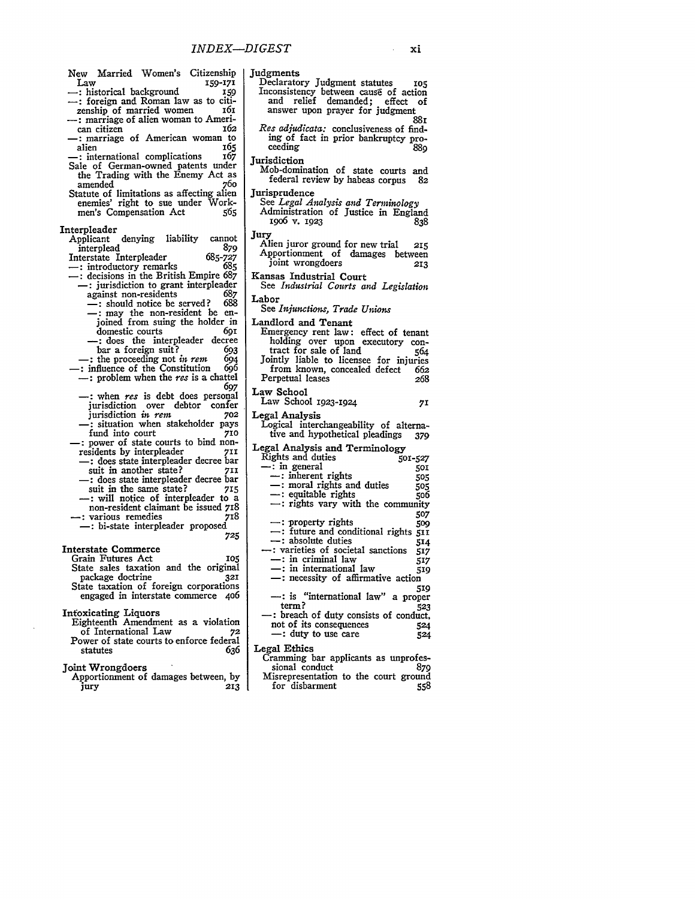| New Married Women's<br>Citizenship<br>Law<br>159-171                              | Judgments<br>Declaratory Judgment statutes<br>105                              |
|-----------------------------------------------------------------------------------|--------------------------------------------------------------------------------|
| - : historical background<br>159                                                  | Inconsistency between cause of action                                          |
| -: foreign and Roman law as to citi-                                              | and<br>relief demanded; effect<br>оf                                           |
| 161<br>zenship of married women                                                   | answer upon prayer for judgment                                                |
| - : marriage of alien woman to Ameri-<br>162<br>can citizen                       | 881<br>Res adjudicata: conclusiveness of find-                                 |
| - marriage of American woman to                                                   | ing of fact in prior bankruptcy pro-                                           |
| 165<br>alien                                                                      | ceeding<br>880                                                                 |
| 167<br>-: international complications                                             | <b>Jurisdiction</b>                                                            |
| Sale of German-owned patents under                                                | Mob-domination of state courts<br>and                                          |
| the Trading with the Enemy Act as<br>760<br>amended                               | federal review by habeas corpus<br>82                                          |
| Statute of limitations as affecting alien                                         | Jurisprudence                                                                  |
| enemies' right to sue under Work-                                                 | See Legal Analysis and Terminology                                             |
| men's Compensation Act<br>505                                                     | Administration of Justice in England                                           |
| Interpleader                                                                      | 1900 v. 1923<br>838                                                            |
| liability<br>Applicant denying<br>cannot                                          | Jury                                                                           |
| 879<br>interplead                                                                 | Alien juror ground for new trial<br>215<br>Apportionment of damages<br>between |
| Interstate Interpleader<br>685-727                                                | joint wrongdoers<br>213                                                        |
| 685<br>- : introductory remarks<br>$-$ : decisions in the British Empire 687      | Kansas Industrial Court                                                        |
| -: jurisdiction to grant interpleader                                             | See Industrial Courts and Legislation                                          |
| 687<br>against non-residents                                                      | Labor                                                                          |
| 688<br>-: should notice be served?                                                | See Injunctions, Trade Unions                                                  |
| -: may the non-resident be en-<br>joined from suing the holder in                 | Landlord and Tenant                                                            |
| domestic courts<br>бот                                                            | Emergency rent law: effect of tenant                                           |
| - close the interpleader decree                                                   | holding over upon executory con-                                               |
| bar a foreign suit?<br>693                                                        | tract for sale of land<br>564                                                  |
| $-$ : the proceeding not in rem<br>694<br>-: influence of the Constitution<br>696 | Jointly liable to licensee for injuries                                        |
| $-$ : problem when the res is a chattel                                           | from known, concealed defect<br>662<br>Perpetual leases<br>268                 |
| 697                                                                               |                                                                                |
| $-$ : when $res$ is debt does personal                                            | Law School<br>Law School 1923-1924<br>71                                       |
| jurisdiction over debtor<br>confer                                                |                                                                                |
| jurisdiction in rem<br>702<br>- situation when stakeholder pays                   | Legal Analysis<br>Logical interchangeability of alterna-                       |
| fund into court<br>710                                                            | tive and hypothetical pleadings<br>379                                         |
| - power of state courts to bind non-                                              | Legal Analysis and Terminology                                                 |
| residents by interpleader<br>71I                                                  | Rights and duties<br>501-527                                                   |
| -: does state interpleader decree bar<br>suit in another state?<br>71I            | - : in general<br>501                                                          |
| - c does state interpleader decree bar                                            | $\equiv$ : inherent rights<br>505                                              |
| suit in the same state?<br>715                                                    | - moral rights and duties<br>505<br>- equitable rights                         |
| - : will notice of interpleader to a                                              | 500<br>$\rightarrow$ : rights vary with the community                          |
| non-resident claimant be issued 718<br>-: various remedies<br>718                 | 507                                                                            |
| - bi-state interpleader proposed                                                  | $\leftarrow$ : property rights<br>509                                          |
| 725                                                                               | -: future and conditional rights 511<br>- absolute duties                      |
| <b>Interstate Commerce</b>                                                        | 514<br>: varieties of societal sanctions<br>517                                |
| Grain Futures Act<br>105                                                          | —: in criminal law<br>517                                                      |
| State sales taxation and the original                                             | $-$ : in international law<br>519                                              |
| package doctrine<br>321<br>State taxation of foreign corporations                 | -: necessity of affirmative action                                             |
| engaged in interstate commerce 406                                                | 519<br>-: is "international law" a proper                                      |
|                                                                                   | term?<br>52,                                                                   |
| <b>Intoxicating Liquors</b>                                                       | -: breach of duty consists of conduct                                          |
| Eighteenth Amendment as a violation<br>of International Law<br>72                 | not of its consequences<br>52                                                  |
| Power of state courts to enforce federal                                          | -: duty to use care<br>524                                                     |
| 636<br>statutes                                                                   | Legal Ethics                                                                   |
| Joint Wrongdoers                                                                  | Cramming bar applicants as unprofes<br>870<br>sional conduct                   |
|                                                                                   |                                                                                |

Joint Wrongdoers Apportionment of damages between, **by** jury **213**

Inconsistency between cause of action and relief demanded; effect of answer upon prayer for judgment 88i *cata:* conclusiveness of finding of fact in prior bankruptcy proceeding **889** nation of state courts and federal review **by** habeas corpus **82** Jurisprudence See *Legal Analysis and Terminology* Administration of Justice in England i9o6 **v. 1923 838** r ground for new trial 215 nent of damages between ongdoers **213** lustrial Court See *Industrial Courts and Legislation* See *Injunctions, Trade Unions* nd Tenant  $\gamma$  rent law: effect of tenant over upon executory con-<br>sale of land 564 tract for sale of land  $564$ Jointly liable to licensee for injuries from known, concealed defect **662** Perpetual leases *268* Law School **1923-1924 71** ysis Logical interchangeability of alterna-tive and hypothetical pleadings **379** Legal Analysis and Terminology Rights and duties **5o1-527**  $\overline{\phantom{0}}$  in general  $\overline{\phantom{0}}$  501 **-:** inherent rights **505 -:** moral rights and duties *5o5 table rights* **-:** rights vary with the community **507 -:** property rights **5o9 -:** future and conditional rights **511 -:** absolute duties **514** -: varieties of societal sanctions 517 **-:** in criminal law **517 -:** in international law **519** essity of affirmative action **519** --: is "international law" a proper term? **523 -:** breach of duty consists of conduct, ts consequences **524 c c 524** Legal Ethics

bar applicants as unprofes-<br>onduct 879 sional conduct **879** Misrepresentation to the court ground<br>for disbarment 558 for disbarment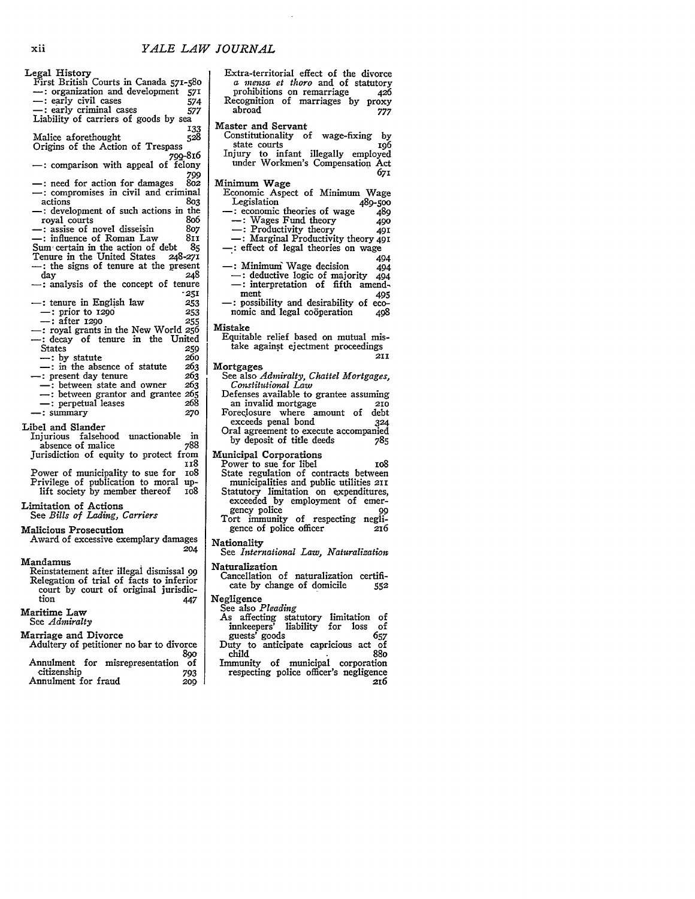Legal History First British Courts in Canada 571-58o - : organization and development **571**<br>- : early civil cases **574** 

-- early civil cases 574<br>-- early criminal cases 577 early criminal cases *577* Liability of carriers of goods by sea 133<br>528

Malice aforethought **528**

Origins of the Action of Trespass 700-816

to the appeal of felony<br>799<br>209 - the need for action for damages  $-$ : need for action for damages

-: compromises in civil and criminal

- actions *<sup>803</sup>* -: development of such actions in the
- 
- rowal courts 807<br>courts 807<br>courts 807<br>time certain in the action of debt
- Sum certain in the action of debt **85** Tenure in the United States
- **-:** the signs of tenure at the present
- -: analysis of the concept of tenure **-251**
- $-$ : tenure in English law 253<br> $-$ : prior to 1290 253 --: prior to **1290** 253<br>--: after 1290 255 : after **129o 255**
- $-$ : royal grants in the New World 256
- decay of tenure in the United<br>States 250 States 259<br>
<del>259</del> metature 260
- 
- <sup>1</sup>: by statute 260<br><sup>260</sup> in the absence of statute 263  $-$ : in the absence of statute  $263$ <br>-: present day tenure  $263$
- 
- $\frac{1}{263}$  : between state and owner 263<br>  $\frac{1}{263}$  : between grantor and grantee 265
- **-:** perpetual leases 268 -:summary **270**
- 
- Libel and Slander

Injurious falsehood unactionable in absence of malice Jurisdiction of equity to protect from **1x8**

Power of municipality to sue for **io8** Privilege of publication to moral uplift society by member thereof

Limitation of Actions

See *Bills of Lading, Carriers*

## Malicious Prosecution

Award of excessive exemplary damages *204*

### Mandamus

Reinstatement after illegal dismissal *99* Relegation of trial of facts to inferior court **by** court of original jurisdiction

## Maritime Law

See *Admiralty*

Marriage and Divorce

Adultery of petitioner no bar to divorce **89o** Annulment for misrepresentation of citizenship **793** Annulment for fraud **209** 

Extra-territorial effect of the divorce *a mensa et thoro* and of statutory prohibitions on remarriage 426 Recognition of marriages **by** proxy abroad **777** Master and Servant Constitutionality of wage-fixing **by** state courts <sup>196</sup> Injury to infant illegally employed under Workmen's Compensation Act **671** Minimum Wage Economic Aspect of Minimum Wage Legislation 489-500<br>
-: economic theories of wage 489<br>
--: Wages Fund theory 490 -: Wages Fund theory **490**  $-$ : Productivity theory -: Marginal Productivity theory **491** -: effect of legal theories on wage<br>494 --: Minimum Wage decision 494<br>--: deductive logic of majority 494  $-$ : deductive logic of majority -: interpretation of fifth amend-<br>ment 405 the resultivity and desirability of eco-<br>nomic and legal cooperation 408 nomic and legal coöperation Mistake Equitable relief based on mutual mistake against ejectment proceedings **211** Mortgages See also *Admiralty, Chattel Mortgages, Constitutional Law* Defenses available to grantee assuming an invalid mortgage **2IO** Foreclosure where amount of debt<br>exceeds penal bond 324 exceeds penal bond Oral agreement to execute accompanied<br>by deposit of title deeds 785 by deposit of title deeds Municipal Corporations Power to sue for libel in the ros State regulation of contracts between municipalities and public utilities **211** Statutory limitation on expenditures, exceeded **by** employment of emer- gency police **<sup>99</sup>** Tort immunity of respecting negligence of police officer **216** Nationality See *International Law, Naturalization* Naturalization

- Cancellation of naturalization certificate by change of domicile **552**
- Negligence See also *Pleading*
	- As affecting statutory limitation of innkeepers' liability for loss of guests' goods 657 Duty to anticipate capricious act of child 88o Immunity of municipal corporation
	- respecting police officer's negligence **26**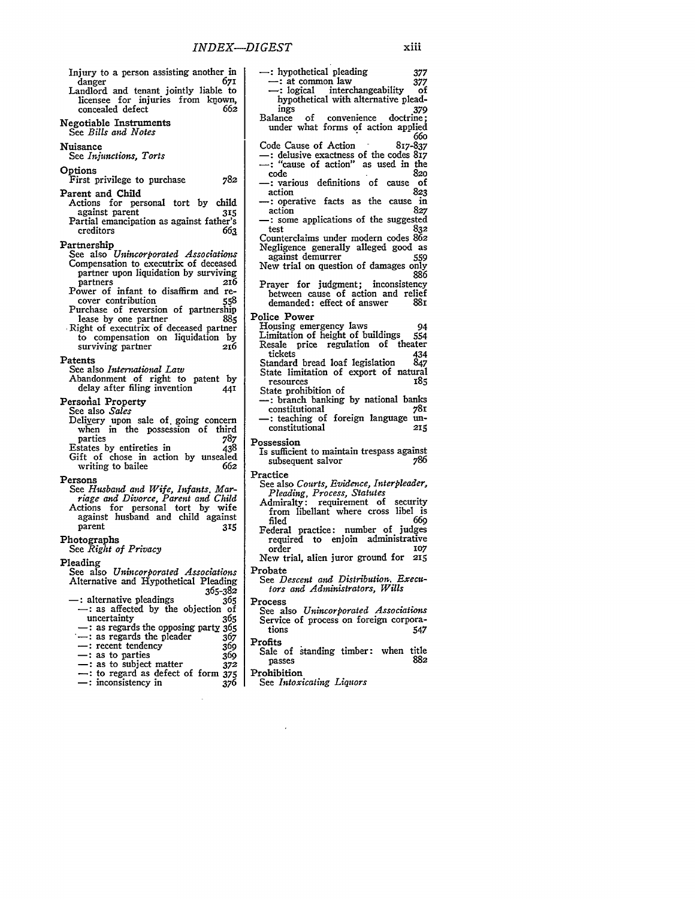- Injury to a person assisting another in danger 671 Landlord and tenant jointly liable to
- licensee for injuries from known,<br>concealed defect 662 concealed defect
- Negotiable Instruments See *Bills and Notes*

## Nuisance

See *Injunctions, Torts*

Options

First privilege to purchase 782

- Parent and Child Actions for personal tort **by** child
- against parent **315** Partial emancipation as against father's creditors *663*
- Partnership
- See also *Unincorporated Associations* Compensation to executrix of deceased partner upon liquidation by surviving<br>partners 216
- partners **216** Power of infant to disaffirm and re- cover contribution **<sup>558</sup>**
- Purchase of reversion of partnership lease by one partner Right of executrix of deceased partner
- to compensation on liquidation by surviving partner

## Patents

See also *International Law*

Abandonment of right to patent by delay after filing invention **<sup>441</sup>**

Personal Property

- See also *Sales*
- Delivery upon sale of going concern<br>when in the possession of third<br>parties 787
- parties 787<br>states by entireties in 238 Estates by entireties in Gift of chose in action by unsealed<br>writing to bailee 662 writing to bailee

Persons

See *Husband and Wife, Infants. Marriage and Divorce, Parent and Child* Actions for personal tort by wife against husband and child against parent **315**

Photographs See *Right of Privacy*

- Pleading
- See also *Unincorporated Associations* Alternative and Hypothetical Pleading **365-382**
- **-:** alternative pleadings **<sup>365</sup>** -: as affected **by** the objection of
- uncertainty **365 -:** as regards the opposing party 365 -: as regards the pleader *<sup>367</sup>* **-:** as regards the opposing party 305<br>
-: as regards the pleader 367<br>
-: recent tendency 369
- 
- 
- -: as to parties 369<br>-: as to subject matter 372  $-$ **:** as to subject matter
- 
- **-:** to regard as defect of form *<sup>375</sup>* **-:** inconsistency in *<sup>376</sup>*
- : hypothetical pleading **<sup>377</sup> :** at common law *<sup>377</sup>* **-:** logical interchangeability of hypothetical with alternative plead-<br>ings 379 ings **379** Balance of convenience doctrine; under what forms **of** action applied 660<br>817-837 Code Cause of Action 817-837<br>
-: delusive exactness of the codes 817<br>
-: "cause of action" as used in the<br>
code<br>
code code **<sup>820</sup> -** various definitions of cause of action **<sup>823</sup> -:** operative facts as the cause in -: some applications of the suggested<br>test 832 test 832 Counterclaims under modern codes 862 Negligence generally alleged good as against demurrer 559 New trial on question of damages only 886 Prayer for judgment; inconsistency between cause of action and relief demanded: effect of answer **881** Police Power Housing emergency laws 94<br>Limitation of height of buildings 554 Limitation of height of buildings Resale price regulation of theater<br>tickets 434 tickets 434<br>tandard bread loaf legislation 847 Standard bread loaf legislation State limitation of export of natural<br>resources 185 resources<br>State prohibition of -: branch banking by national banks<br>constitutional banks constitutional 78r **-:** teaching of foreign language un- constitutional **<sup>215</sup>** Possession Is sufficient to maintain trespass against subsequent salvor Practice See also *Courts, Evidence, Interpleader, Pleading, Process, Statutes* Admiralty: requirement of security<br>from libellant where cross libel is<br>filed 660 filed **669** Federal practice: number of judges required to enjoin administrative order **107** New trial, alien juror ground for **215**
- Probate
- See *Descent and Distribution. Executors and Administrators, Wills*

Process

- See also *Unincorporated Associations* Service of process on foreign corpora-<br>tions 547 tions **Profits**
- Sale of standing timber: when title<br>nasses passes
- Prohibition
- See *Intoxicating Liquors*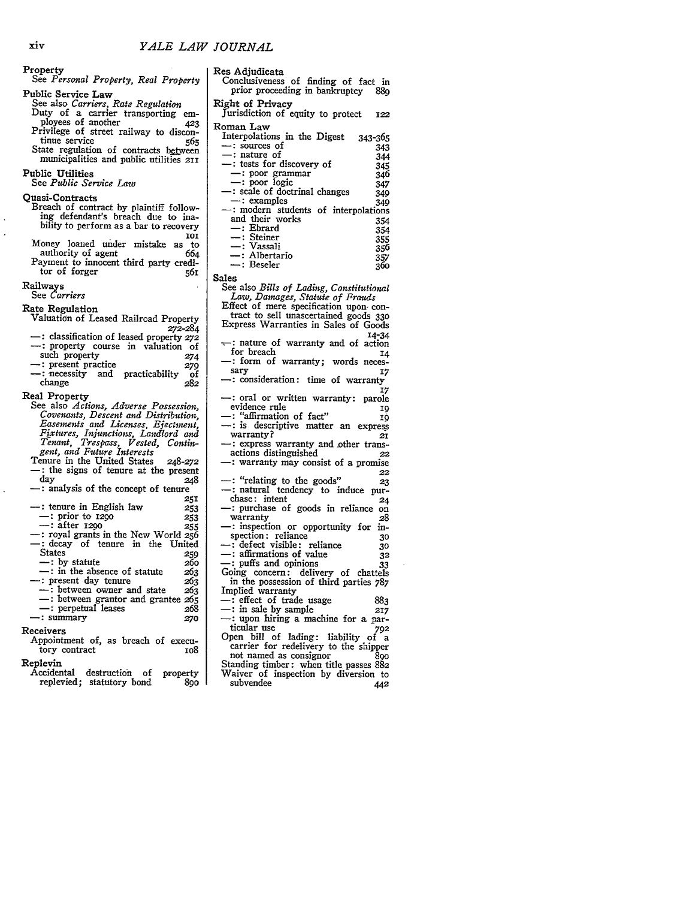| Property<br>See Personal Property, Real Property                                                                                                                                                                                                                                                                                                                                               |
|------------------------------------------------------------------------------------------------------------------------------------------------------------------------------------------------------------------------------------------------------------------------------------------------------------------------------------------------------------------------------------------------|
| Public Service Law<br>See also Carriers, Rate Regulation<br>Duty of a carrier transporting em-<br>ployees of another 423<br>Privilege of street railway to discon-<br>tinue service<br>565<br>State regulation of contracts between<br>municipalities and public utilities 211                                                                                                                 |
| Public Utilities<br>See Public Service Law                                                                                                                                                                                                                                                                                                                                                     |
| Quasi-Contracts<br>Breach of contract by plaintiff follow-<br>ing defendant's breach due to ina-<br>bility to perform as a bar to recovery<br><b>101</b>                                                                                                                                                                                                                                       |
| Money loaned under mistake as to<br>authority of agent<br>664<br>Payment to innocent third party credi-<br>tor of forger 561                                                                                                                                                                                                                                                                   |
| Railways<br>See <i>Carriers</i>                                                                                                                                                                                                                                                                                                                                                                |
| Rate Regulation<br>Valuation of Leased Railroad Property                                                                                                                                                                                                                                                                                                                                       |
| 272-284<br>-: classification of leased property 272<br>-: property course in valuation of<br>such property<br>274<br>-: present practice<br>279<br>-: necessity and practicability<br>of<br>change<br>282                                                                                                                                                                                      |
| Real Property<br>See also Actions, Adverse Possession,<br>Covenants, Descent and Distribution,<br>Easements and Licenses, Ejectment,<br>Fixtures, Injunctions, Landlord and<br>Tenant, Trespass, Vested, Contin-<br>gent, and Future Interests<br>Tenure in the United States<br>248-272<br>-: the signs of tenure at the present<br>day<br>248<br>-: analysis of the concept of tenure<br>251 |
| -: tenure in English law<br>253<br>$-$ : prior to 1290<br>$-$ : after 1290<br>253<br>255<br>-: royal grants in the New World 256                                                                                                                                                                                                                                                               |
| -: decay of tenure in the United<br>States<br>259<br>-: by statute<br>260                                                                                                                                                                                                                                                                                                                      |
| $\therefore$ in the absence of statute<br>263<br>- : present day tenure<br>263<br>- between owner and state<br>263<br>-: between grantor and grantee 265<br>-: perpetual leases<br>268<br>$-$ : summary<br>270                                                                                                                                                                                 |
| Receivers<br>Appointment of, as breach of execu-<br>tory contract<br>108                                                                                                                                                                                                                                                                                                                       |
| Replevin<br>Accidental destruction of property                                                                                                                                                                                                                                                                                                                                                 |

replevied; statutory bond 890

Res Adjudicata Conclusiveness of finding of fact in prior proceeding in bankruptcy **889** Right of Privacy Jurisdiction of equity to protect *122* Roman Law<br>Interpolations in the Digest Interpolations in the Digest 343-365<br>
-: sources of 343<br>
-: nature of 344<br>
-: tests for discovery of 345<br>
--: poor grammar 346 -: poor grammar<br>
-: poor logic 347 --: poor logic 347<br>--: scale of doctrinal changes 349<br>--: examples 349<br>--: modern students of interpolations<br>and their works 354<br>--: Ebrard 354<br>--: Esteiner 355<br>--: Vassali 957<br>--: Albertario 357<br>--: Beseler 360 Sales See also *Bills of Lading, Constitutional Law, Damages, Statute of Frauds* Effect of mere specification upon- con- tract to sell unascertained goods **<sup>330</sup>** Express Warranties in Sales of Goods  $\frac{14-34}{\sqrt{11}}$  ature of warranty and of action for breach for breach<br>- form of warranty; words neces-**-:** form of warranty; words neces- sary *<sup>17</sup>* **:** consideration: time of warranty **<sup>17</sup> -:** oral or written warranty: parole evidence rule **<sup>19</sup> -:** "affirmation of fact" *x9* -: is descriptive matter an express warranty?<br>
-: express warranty and other transactions distinguished 22 **-:** warranty may consist of a promise**22** -: "relating to the goods" **23 -:** natural tendency to induce pur- chase: intent **<sup>24</sup>** -: purchase of goods in reliance on warranty *<sup>28</sup>* warranty<br>
-: inspection or opportunity for in-<br>
spection: reliance<br>
30 -: defect visible: reliance **30**<br>
-: affirmations of value **32**<br>
-: puffs and opinions 33 Going concern: delivery of chattels in the possession of third parties 787<br>
Implied warranty<br>
-: effect of trade usage 883 **-:** in sale **by** sample **<sup>217</sup> -:** upon hiring a machine for a par- ticular use *<sup>792</sup>* Open bill of lading: liability of a carrier for redelivery to the shipper

carrier for redelivery to the shipper<br>not named as consignor 890 Standing timber: when title passes **882** Waiver of inspection **by** diversion to subvendee

# xiv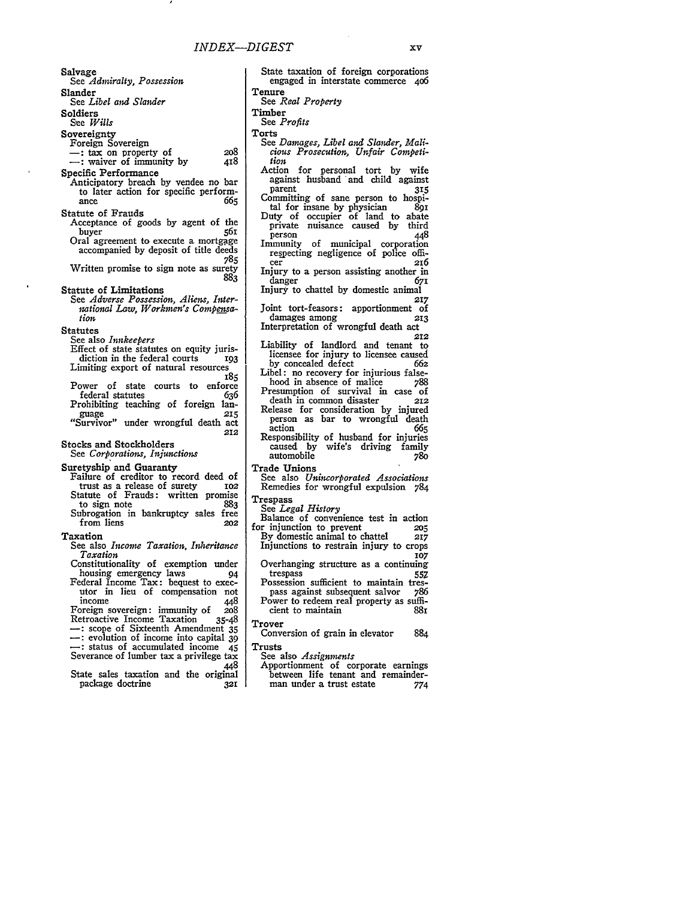Salvage

See *Admiralty, Possession*

Slander

See *Libel and Slander*

Soldiers

*See Wills*

Sovereignty

- 
- Foreign Sovereign<br>
—: tax on property of **-:** tax on property of **2o8** : waiver of immunity by 418
- 
- Specific Performance
	- Anticipatory breach **by** vendee no bar to later action for specific perform-<br>ance 665 ance *665*
- Statute of Frauds
- Acceptance of goods by agent of the<br>huver s61 buyer 561 Oral agreement to execute a mortgage
- accompanied **by** deposit of title deeds **785**
- Written promise to sign note as surety **883**
- Statute of Limitations
	- See *Adverse Possession, Aliens, International Law, Workmen's Compensation.*
- **Statutes**
- See also *Innkeepers*
- Effect of state statutes on equity juris-<br>diction in the federal courts 193 diction in the federal courts Limiting export of natural resources
- *185*
- Power of state courts to enforce<br>federal statutes 636 federal statutes Prohibiting teaching of foreign lan-
- guage **215** "Survivor" under wrongful death act **212**

Stocks and Stockholders

See *Corporations, Injunctions*

- Suretyship and Guaranty
	- Failure of creditor to record deed of<br>trust as a release of surety 102 trust as a release of surety Statute of Frauds: written promise<br>to sign note 883 to sign note **883**
	- Subrogation in bankruptcy sales free from liens *202*
- Taxation
	- See also *Income Taxation, Inheritance Taxation*
	- Constitutionality of exemption under housing emergency laws *94*
	- Federal Income Tax: bequest to executor in lieu of compensation not income 448
- Foreign sovereign: immunity of **208** Retroactive Income Taxation **35-48 -:** scope of Sixteenth Amendment **<sup>35</sup> :** evolution of income into capital 39 **-:** status of accumulated income 45 Severance of lumber tax a privilege tax
- 448 State sales taxation and the original<br>package doctrine 321 package doctrine **321**

**Tenure** See *Real Property* Timber See *Profits* Torts See *Damages, Libel and Slander, Malicious Prosecution, Unfair Competition* Action for personal tort by wife against husband and child against<br>parent 315 parent **35** Committing of sane person to hospital for insane **by** physician **<sup>891</sup>** Duty of occupier of land to abate private nuisance caused **by** third person 448 Immunity of municipal corporation respecting negligence of police officer **216** Injury to a person assisting another in danger 671 Injury to chattel **by** domestic animal *217* Joint tort-feasors: apportionment of damages among **213** Interpretation of wrongful death act **212** Liability of landlord and tenant to licensee for injury to licensee caused **by** concealed defect *66z* Libel: no recovery for injurious false-<br>hood in absence of malice 788 hood in absence of malice Presumption of survival in case of<br>death in common disaster 212 death in common disaster Release for consideration by injured

State taxation of foreign corporations engaged in interstate commerce **4o6**

- person as bar to wrongful death<br>action 665 action 665 Responsibility of husband for injuries caused by wife's driving family<br>automobile 780 automobile **780**
- Trade Unions
- See also *Unincorporated Associations* Remedies for wrongful expulsion 784
- Trespass
- See *Legal History*
- Balance of convenience test in action<br>or injunction to prevent 205 for injunction to prevent **2o5 By** domestic animal to chattel **217** Injunctions to restrain injury to crops **107**
- Overhanging structure as a continuing trespass **557** Possession sufficient to maintain tres-
- pass against subsequent salvor 786 Power to redeem real property as suffi-<br>cient to maintain 88r cient to maintain
- Trover

Conversion of grain in elevator **884** Trusts

- 
- See also *Assignments*
- Apportionment of corporate earnings between life tenant and remainder-<br>man under a trust estate 774
	-